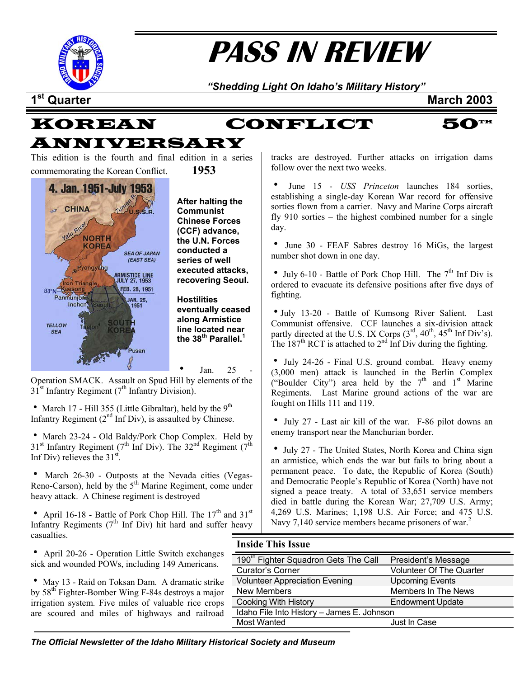

# **PASS IN REVIEW**

*"Shedding Light On Idaho's Military History"* 

**1st Quarter March 2003**



This edition is the fourth and final edition in a series commemorating the Korean Conflict. **1953**



**After halting the Communist Chinese Forces (CCF) advance, the U.N. Forces conducted a series of well executed attacks, recovering Seoul.** 

**Hostilities eventually ceased along Armistice line located near the 38th Parallel.[1](#page--1-0)**

Jan.  $25$ Operation SMACK. Assault on Spud Hill by elements of the  $31<sup>st</sup>$  Infantry Regiment ( $7<sup>th</sup>$  Infantry Division).

• March 17 - Hill 355 (Little Gibraltar), held by the  $9<sup>th</sup>$ Infantry Regiment  $(2<sup>nd</sup>$  Inf Div), is assaulted by Chinese.

• March 23-24 - Old Baldy/Pork Chop Complex. Held by  $31<sup>st</sup>$  Infantry Regiment (7<sup>th</sup> Inf Div). The  $32<sup>nd</sup>$  Regiment (7<sup>th</sup>) Inf Div) relieves the  $31<sup>st</sup>$ .

• March 26-30 - Outposts at the Nevada cities (Vegas-Reno-Carson), held by the 5<sup>th</sup> Marine Regiment, come under heavy attack. A Chinese regiment is destroyed

• April 16-18 - Battle of Pork Chop Hill. The  $17<sup>th</sup>$  and  $31<sup>st</sup>$ Infantry Regiments  $(7<sup>th</sup>$  Inf Div) hit hard and suffer heavy casualties.

tracks are destroyed. Further attacks on irrigation dams follow over the next two weeks.

June 15 - *USS Princeton* launches 184 sorties, establishing a single-day Korean War record for offensive sorties flown from a carrier. Navy and Marine Corps aircraft fly 910 sorties – the highest combined number for a single day.

• June 30 - FEAF Sabres destroy 16 MiGs, the largest number shot down in one day.

• July 6-10 - Battle of Pork Chop Hill. The  $7<sup>th</sup>$  Inf Div is ordered to evacuate its defensive positions after five days of fighting.

• July 13-20 - Battle of Kumsong River Salient. Last Communist offensive. CCF launches a six-division attack partly directed at the U.S. IX Corps  $(3<sup>rd</sup>, 40<sup>th</sup>, 45<sup>th</sup> Inf Div's)$ . The  $187<sup>th</sup>$  RCT is attached to  $2<sup>nd</sup>$  Inf Div during the fighting.

• July 24-26 - Final U.S. ground combat. Heavy enemy (3,000 men) attack is launched in the Berlin Complex ("Boulder City") area held by the  $7<sup>th</sup>$  and  $1<sup>st</sup>$  Marine Regiments. Last Marine ground actions of the war are fought on Hills 111 and 119.

• July 27 - Last air kill of the war. F-86 pilot downs an enemy transport near the Manchurian border.

• July 27 - The United States, North Korea and China sign an armistice, which ends the war but fails to bring about a permanent peace. To date, the Republic of Korea (South) and Democratic People's Republic of Korea (North) have not signed a peace treaty. A total of 33,651 service members died in battle during the Korean War; 27,709 U.S. Army; 4,269 U.S. Marines; 1,198 U.S. Air Force; and 475 U.S. Navy 7,140 service members became prisoners of war.<sup>[2](#page--1-1)</sup>

#### **Inside This Issue**

| xchanges<br>ericans. | 190 <sup>th</sup> Fighter Squadron Gets The Call | President's Message             |  |
|----------------------|--------------------------------------------------|---------------------------------|--|
|                      | Curator's Corner                                 | <b>Volunteer Of The Quarter</b> |  |
| atic strike          | <b>Volunteer Appreciation Evening</b>            | <b>Upcoming Events</b>          |  |
| s a major            | New Members                                      | Members In The News             |  |
| ice crops            | <b>Cooking With History</b>                      | <b>Endowment Update</b>         |  |
| railroad             | Idaho File Into History - James E. Johnson       |                                 |  |
|                      | Most Wanted                                      | Just In Case                    |  |
|                      |                                                  |                                 |  |

• April 20-26 - Operation Little Switch ex sick and wounded POWs, including 149 Amer-

• May 13 - Raid on Toksan Dam. A drama by  $58<sup>th</sup>$  Fighter-Bomber Wing F-84s destroys irrigation system. Five miles of valuable ri are scoured and miles of highways and

*The Official Newsletter of the Idaho Military Historical Society and Museum*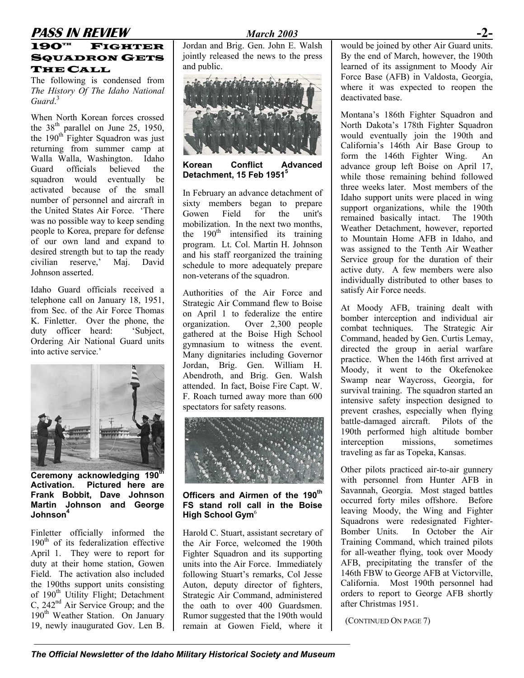## **PASS IN REVIEW** *March 2003* **-2-**

#### $190^{\mathrm{th}}$  FIGHTER **SQUADRON GETS** THE CALL

The following is condensed from *The History Of The Idaho National* Guard.<sup>[3](#page--1-2)</sup>

When North Korean forces crossed the 38<sup>th</sup> parallel on June 25, 1950, the  $190<sup>th</sup>$  Fighter Squadron was just returning from summer camp at Walla Walla, Washington. Idaho Guard officials believed the squadron would eventually be activated because of the small number of personnel and aircraft in the United States Air Force. 'There was no possible way to keep sending people to Korea, prepare for defense of our own land and expand to desired strength but to tap the ready civilian reserve,' Maj. David Johnson asserted.

Idaho Guard officials received a telephone call on January 18, 1951, from Sec. of the Air Force Thomas K. Finletter. Over the phone, the duty officer heard: 'Subject, Ordering Air National Guard units into active service.'



**Ceremony acknowledging 190th Activation. Pictured here are Frank Bobbit, Dave Johnson Martin Johnson and George Johnson[4](#page--1-3)**

Finletter officially informed the  $190<sup>th</sup>$  of its federalization effective April 1. They were to report for duty at their home station, Gowen Field. The activation also included the 190ths support units consisting of 190<sup>th</sup> Utility Flight; Detachment C, 242<sup>nd</sup> Air Service Group; and the 190<sup>th</sup> Weather Station. On January 19, newly inaugurated Gov. Len B.

Jordan and Brig. Gen. John E. Walsh jointly released the news to the press and public.



**Korean Conflict Advanced Detachment, 15 Feb 195[15](#page--1-4)**

In February an advance detachment of sixty members began to prepare Gowen Field for the unit's mobilization. In the next two months, the  $190<sup>th</sup>$  intensified its training program. Lt. Col. Martin H. Johnson and his staff reorganized the training schedule to more adequately prepare non-veterans of the squadron.

Authorities of the Air Force and Strategic Air Command flew to Boise on April 1 to federalize the entire organization. Over 2,300 people gathered at the Boise High School gymnasium to witness the event. Many dignitaries including Governor Jordan, Brig. Gen. William H. Abendroth, and Brig. Gen. Walsh attended. In fact, Boise Fire Capt. W. F. Roach turned away more than 600 spectators for safety reasons.



**Officers and Airmen of the 190th FS stand roll call in the Boise High School Gym<sup>[6](#page--1-5)</sup>** 

Harold C. Stuart, assistant secretary of the Air Force, welcomed the 190th Fighter Squadron and its supporting units into the Air Force. Immediately following Stuart's remarks, Col Jesse Auton, deputy director of fighters, Strategic Air Command, administered the oath to over 400 Guardsmen. Rumor suggested that the 190th would remain at Gowen Field, where it

would be joined by other Air Guard units. By the end of March, however, the 190th learned of its assignment to Moody Air Force Base (AFB) in Valdosta, Georgia, where it was expected to reopen the deactivated base.

Montana's 186th Fighter Squadron and North Dakota's 178th Fighter Squadron would eventually join the 190th and California's 146th Air Base Group to form the 146th Fighter Wing. An advance group left Boise on April 17, while those remaining behind followed three weeks later. Most members of the Idaho support units were placed in wing support organizations, while the 190th remained basically intact. The 190th Weather Detachment, however, reported to Mountain Home AFB in Idaho, and was assigned to the Tenth Air Weather Service group for the duration of their active duty. A few members were also individually distributed to other bases to satisfy Air Force needs.

At Moody AFB, training dealt with bomber interception and individual air combat techniques. The Strategic Air Command, headed by Gen. Curtis Lemay, directed the group in aerial warfare practice. When the 146th first arrived at Moody, it went to the Okefenokee Swamp near Waycross, Georgia, for survival training. The squadron started an intensive safety inspection designed to prevent crashes, especially when flying battle-damaged aircraft. Pilots of the 190th performed high altitude bomber interception missions, sometimes traveling as far as Topeka, Kansas.

Other pilots practiced air-to-air gunnery with personnel from Hunter AFB in Savannah, Georgia. Most staged battles occurred forty miles offshore. Before leaving Moody, the Wing and Fighter Squadrons were redesignated Fighter-Bomber Units. In October the Air Training Command, which trained pilots for all-weather flying, took over Moody AFB, precipitating the transfer of the 146th FBW to George AFB at Victorville, California. Most 190th personnel had orders to report to George AFB shortly after Christmas 1951.

(CONTINUED ON PAGE 7)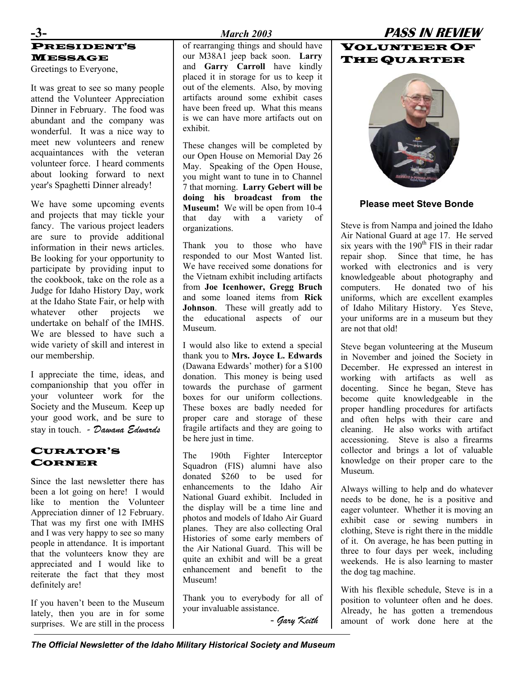#### **-3-** *March 2003* **PASS IN REVIEW** PRESIDENT'S MESSAGE

Greetings to Everyone,

It was great to see so many people attend the Volunteer Appreciation Dinner in February. The food was abundant and the company was wonderful. It was a nice way to meet new volunteers and renew acquaintances with the veteran volunteer force. I heard comments about looking forward to next year's Spaghetti Dinner already!

We have some upcoming events and projects that may tickle your fancy. The various project leaders are sure to provide additional information in their news articles. Be looking for your opportunity to participate by providing input to the cookbook, take on the role as a Judge for Idaho History Day, work at the Idaho State Fair, or help with whatever other projects we undertake on behalf of the IMHS. We are blessed to have such a wide variety of skill and interest in our membership.

I appreciate the time, ideas, and companionship that you offer in your volunteer work for the Society and the Museum. Keep up your good work, and be sure to stay in touch. *- Dawana Edwards*

#### CURATOR'S CORNER

Since the last newsletter there has been a lot going on here! I would like to mention the Volunteer Appreciation dinner of 12 February. That was my first one with IMHS and I was very happy to see so many people in attendance. It is important that the volunteers know they are appreciated and I would like to reiterate the fact that they most definitely are!

If you haven't been to the Museum lately, then you are in for some surprises. We are still in the process

of rearranging things and should have our M38A1 jeep back soon. **Larry**  and **Garry Carroll** have kindly placed it in storage for us to keep it out of the elements. Also, by moving artifacts around some exhibit cases have been freed up. What this means is we can have more artifacts out on exhibit.

These changes will be completed by our Open House on Memorial Day 26 May. Speaking of the Open House, you might want to tune in to Channel 7 that morning. **Larry Gebert will be doing his broadcast from the Museum!** We will be open from 10-4 that day with a variety of organizations.

Thank you to those who have responded to our Most Wanted list. We have received some donations for the Vietnam exhibit including artifacts from **Joe Icenhower, Gregg Bruch** and some loaned items from **Rick Johnson**. These will greatly add to the educational aspects of our Museum.

I would also like to extend a special thank you to **Mrs. Joyce L. Edwards**  (Dawana Edwards' mother) for a \$100 donation. This money is being used towards the purchase of garment boxes for our uniform collections. These boxes are badly needed for proper care and storage of these fragile artifacts and they are going to be here just in time.

The 190th Fighter Interceptor Squadron (FIS) alumni have also donated \$260 to be used for enhancements to the Idaho Air National Guard exhibit. Included in the display will be a time line and photos and models of Idaho Air Guard planes. They are also collecting Oral Histories of some early members of the Air National Guard. This will be quite an exhibit and will be a great enhancement and benefit to the Museum!

Thank you to everybody for all of your invaluable assistance.

- *Gary Keith* 

#### VOLUNTEER OF THE QUARTER



#### **Please meet Steve Bonde**

Steve is from Nampa and joined the Idaho Air National Guard at age 17. He served six years with the  $190<sup>th</sup>$  FIS in their radar repair shop. Since that time, he has worked with electronics and is very knowledgeable about photography and computers. He donated two of his uniforms, which are excellent examples of Idaho Military History. Yes Steve, your uniforms are in a museum but they are not that old!

Steve began volunteering at the Museum in November and joined the Society in December. He expressed an interest in working with artifacts as well as docenting. Since he began, Steve has become quite knowledgeable in the proper handling procedures for artifacts and often helps with their care and cleaning. He also works with artifact accessioning. Steve is also a firearms collector and brings a lot of valuable knowledge on their proper care to the Museum.

Always willing to help and do whatever needs to be done, he is a positive and eager volunteer. Whether it is moving an exhibit case or sewing numbers in clothing, Steve is right there in the middle of it. On average, he has been putting in three to four days per week, including weekends. He is also learning to master the dog tag machine.

With his flexible schedule, Steve is in a position to volunteer often and he does. Already, he has gotten a tremendous amount of work done here at the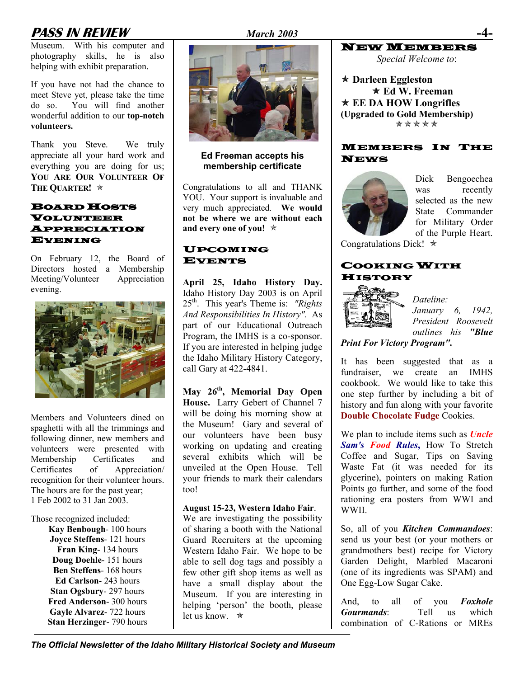#### **PASS IN REVIEW** *March 2003* **-4-**

Museum. With his computer and photography skills, he is also helping with exhibit preparation.

If you have not had the chance to meet Steve yet, please take the time do so. You will find another wonderful addition to our **top-notch volunteers.** 

Thank you Steve. We truly appreciate all your hard work and everything you are doing for us; **YOU ARE OUR VOLUNTEER OF THE QUARTER!** Õ

#### BOARD HOSTS VOLUNTEER APPRECIATION EVENING

On February 12, the Board of Directors hosted a Membership<br>Meeting/Volunteer Appreciation Meeting/Volunteer evening.



Members and Volunteers dined on spaghetti with all the trimmings and following dinner, new members and volunteers were presented with Membership Certificates and Certificates of Appreciation/ recognition for their volunteer hours. The hours are for the past year; 1 Feb 2002 to 31 Jan 2003.

Those recognized included:

**Kay Benbough**- 100 hours **Joyce Steffens**- 121 hours **Fran King**- 134 hours **Doug Doehle**- 151 hours **Ben Steffens**- 168 hours **Ed Carlson**- 243 hours **Stan Ogsbury**- 297 hours **Fred Anderson**- 300 hours **Gayle Alvarez**- 722 hours **Stan Herzinger**- 790 hours



#### **Ed Freeman accepts his membership certificate**

Congratulations to all and THANK YOU. Your support is invaluable and very much appreciated. **We would not be where we are without each and every one of you!** Õ

#### UPCOMING EVENTS

**April 25, Idaho History Day.** Idaho History Day 2003 is on April 25th. This year's Theme is: *"Rights And Responsibilities In History".* As part of our Educational Outreach Program, the IMHS is a co-sponsor. If you are interested in helping judge the Idaho Military History Category, call Gary at 422-4841.

**May 26th, Memorial Day Open House.** Larry Gebert of Channel 7 will be doing his morning show at the Museum! Gary and several of our volunteers have been busy working on updating and creating several exhibits which will be unveiled at the Open House. Tell your friends to mark their calendars too!

#### **August 15-23, Western Idaho Fair**.

We are investigating the possibility of sharing a booth with the National Guard Recruiters at the upcoming Western Idaho Fair. We hope to be able to sell dog tags and possibly a few other gift shop items as well as have a small display about the Museum. If you are interesting in helping 'person' the booth, please let us know.  $\star$ 

## **NEW MEMBER**

*Special Welcome to*:

Õ **Darleen Eggleston**  Õ **Ed W. Freeman ★ EE DA HOW Longrifles (Upgraded to Gold Membership)**  \*\*\*\*\*

#### MEMBERS IN THE NEWS



Dick Bengoechea was recently selected as the new State Commander for Military Order of the Purple Heart.

Congratulations Dick!  $\ast$ 

#### COOKING WITH **HISTORY**



*Dateline: January 6, 1942, President Roosevelt outlines his "Blue* 

*Print For Victory Program".* 

It has been suggested that as a fundraiser, we create an IMHS cookbook. We would like to take this one step further by including a bit of history and fun along with your favorite **Double Chocolate Fudge** Cookies.

We plan to include items such as *Uncle Sam's Food Rules***,** How To Stretch Coffee and Sugar, Tips on Saving Waste Fat (it was needed for its glycerine), pointers on making Ration Points go further, and some of the food rationing era posters from WWI and WWII.

So, all of you *Kitchen Commandoes*: send us your best (or your mothers or grandmothers best) recipe for Victory Garden Delight, Marbled Macaroni (one of its ingredients was SPAM) and One Egg-Low Sugar Cake.

And, to all of you *Foxhole Gourmands*: Tell us which combination of C-Rations or MREs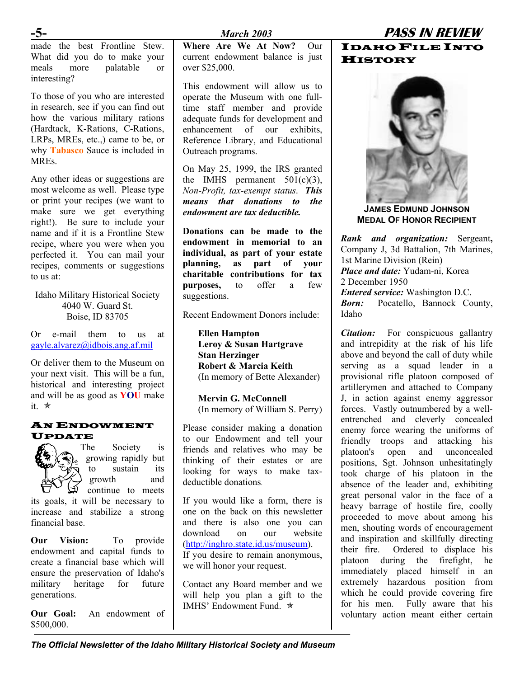made the best Frontline Stew. What did you do to make your meals more palatable or interesting?

To those of you who are interested in research, see if you can find out how the various military rations (Hardtack, K-Rations, C-Rations, LRPs, MREs, etc.,) came to be, or why **Tabasco** Sauce is included in **MREs**.

Any other ideas or suggestions are most welcome as well. Please type or print your recipes (we want to make sure we get everything right!). Be sure to include your name and if it is a Frontline Stew recipe, where you were when you perfected it. You can mail your recipes, comments or suggestions to us at:

Idaho Military Historical Society 4040 W. Guard St. Boise, ID 83705

Or e-mail them to us at [gayle.alvarez@idbois.ang.af.mil](mailto:gayle.alvarez@idbois.ang.af.mil)

Or deliver them to the Museum on your next visit. This will be a fun, historical and interesting project and will be as good as **YOU** make it. Õ

#### AN ENDOWMENT UPDATE



The Society is growing rapidly but to sustain its growth and continue to meets

its goals, it will be necessary to increase and stabilize a strong financial base.

**Our Vision:** To provide endowment and capital funds to create a financial base which will ensure the preservation of Idaho's military heritage for future generations.

**Our Goal:** An endowment of \$500,000.

**Where Are We At Now?** Our current endowment balance is just over \$25,000.

This endowment will allow us to operate the Museum with one fulltime staff member and provide adequate funds for development and enhancement of our exhibits Reference Library, and Educational Outreach programs.

On May 25, 1999, the IRS granted the IMHS permanent  $501(c)(3)$ , *Non-Profit, tax-exempt status*. *This means that donations to the endowment are tax deductible.* 

**Donations can be made to the endowment in memorial to an individual, as part of your estate planning, as part of your charitable contributions for tax purposes,** to offer a few suggestions.

Recent Endowment Donors include:

**Ellen Hampton Leroy & Susan Hartgrave Stan Herzinger Robert & Marcia Keith**  (In memory of Bette Alexander)

**Mervin G. McConnell**  (In memory of William S. Perry)

Please consider making a donation to our Endowment and tell your friends and relatives who may be thinking of their estates or are looking for ways to make taxdeductible donations.

If you would like a form, there is one on the back on this newsletter and there is also one you can download on our website [\(http://inghro.state.id.us/museum](http://inghro.state.id.us/museum)). If you desire to remain anonymous, we will honor your request.

Contact any Board member and we will help you plan a gift to the IMHS' Endowment Fund.  $*$ 

#### IDAHO FILE INTO **HISTORY**



**JAMES EDMUND JOHNSON MEDAL OF HONOR RECIPIENT**

*Rank and organization:* Sergeant**,**  Company J, 3d Battalion, 7th Marines, 1st Marine Division (Rein) *Place and date:* Yudam-ni, Korea 2 December 1950 *Entered service:* Washington D.C. **Born:** Pocatello, Bannock County, Idaho

*Citation:* For conspicuous gallantry and intrepidity at the risk of his life above and beyond the call of duty while serving as a squad leader in a provisional rifle platoon composed of artillerymen and attached to Company J, in action against enemy aggressor forces. Vastly outnumbered by a wellentrenched and cleverly concealed enemy force wearing the uniforms of friendly troops and attacking his platoon's open and unconcealed positions, Sgt. Johnson unhesitatingly took charge of his platoon in the absence of the leader and, exhibiting great personal valor in the face of a heavy barrage of hostile fire, coolly proceeded to move about among his men, shouting words of encouragement and inspiration and skillfully directing their fire. Ordered to displace his platoon during the firefight, he immediately placed himself in an extremely hazardous position from which he could provide covering fire for his men. Fully aware that his voluntary action meant either certain

*The Official Newsletter of the Idaho Military Historical Society and Museum*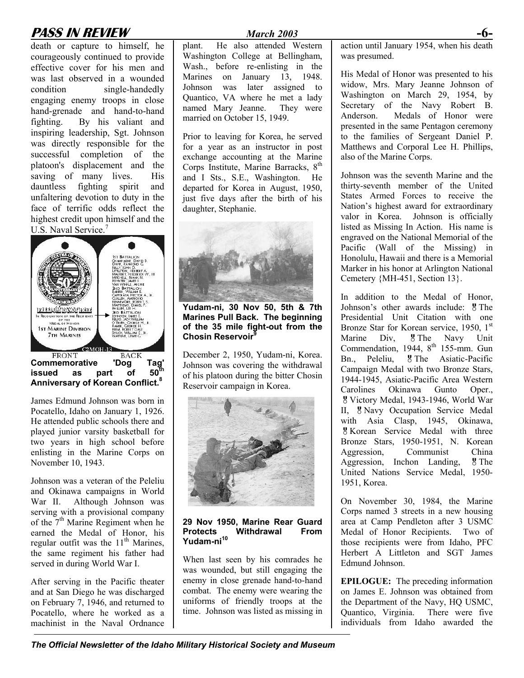### **PASS IN REVIEW** *March 2003* **-6-**

death or capture to himself, he courageously continued to provide effective cover for his men and was last observed in a wounded condition single-handedly engaging enemy troops in close hand-grenade and hand-to-hand fighting. By his valiant and inspiring leadership, Sgt. Johnson was directly responsible for the successful completion of the platoon's displacement and the saving of many lives. His dauntless fighting spirit and unfaltering devotion to duty in the face of terrific odds reflect the highest credit upon himself and the U.S. Naval Service.<sup>[7](#page--1-6)</sup>



**Commemorative 'Dog Tag' issued** as part of **Anniversary of Korean Conflict[.8](#page--1-7)** 

James Edmund Johnson was born in Pocatello, Idaho on January 1, 1926. He attended public schools there and played junior varsity basketball for two years in high school before enlisting in the Marine Corps on November 10, 1943.

Johnson was a veteran of the Peleliu and Okinawa campaigns in World War II. Although Johnson was serving with a provisional company of the  $7<sup>th</sup>$  Marine Regiment when he earned the Medal of Honor, his regular outfit was the  $11<sup>th</sup>$  Marines, the same regiment his father had served in during World War I.

After serving in the Pacific theater and at San Diego he was discharged on February 7, 1946, and returned to Pocatello, where he worked as a machinist in the Naval Ordnance

plant. He also attended Western Washington College at Bellingham, Wash., before re-enlisting in the Marines on January 13, 1948. Johnson was later assigned to Quantico, VA where he met a lady named Mary Jeanne. They were married on October 15, 1949.

Prior to leaving for Korea, he served for a year as an instructor in post exchange accounting at the Marine Corps Institute, Marine Barracks, 8<sup>th</sup> and I Sts., S.E., Washington. He departed for Korea in August, 1950, just five days after the birth of his daughter, Stephanie.



**Yudam-ni, 30 Nov 50, 5th & 7th Marines Pull Back. The beginning of the 35 mile fight-out from the Chosin Reservoir[9](#page--1-8)**

December 2, 1950, Yudam-ni, Korea. Johnson was covering the withdrawal of his platoon during the bitter Chosin Reservoir campaign in Korea.



**29 Nov 1950, Marine Rear Guard Protects Withdrawal From Yudam-ni[10](#page--1-9)**

When last seen by his comrades he was wounded, but still engaging the enemy in close grenade hand-to-hand combat. The enemy were wearing the uniforms of friendly troops at the time. Johnson was listed as missing in action until January 1954, when his death was presumed.

His Medal of Honor was presented to his widow, Mrs. Mary Jeanne Johnson of Washington on March 29, 1954, by Secretary of the Navy Robert B. Anderson. Medals of Honor were presented in the same Pentagon ceremony to the families of Sergeant Daniel P. Matthews and Corporal Lee H. Phillips, also of the Marine Corps.

Johnson was the seventh Marine and the thirty-seventh member of the United States Armed Forces to receive the Nation's highest award for extraordinary valor in Korea. Johnson is officially listed as Missing In Action. His name is engraved on the National Memorial of the Pacific (Wall of the Missing) in Honolulu, Hawaii and there is a Memorial Marker in his honor at Arlington National Cemetery {MH-451, Section 13}.

In addition to the Medal of Honor, Johnson's other awards include: <sup>g</sup> The Presidential Unit Citation with one Bronze Star for Korean service, 1950, 1<sup>st</sup> Marine Div, <sup>8</sup> The Navy Unit Commendation,  $1944$ ,  $8<sup>th</sup>$  155-mm. Gun Bn., Peleliu, <sup>g</sup> The Asiatic-Pacific Campaign Medal with two Bronze Stars, 1944-1945, Asiatic-Pacific Area Western Carolines Okinawa Gunto Oper., Victory Medal, 1943-1946, World War II, <sup>8</sup> Navy Occupation Service Medal with Asia Clasp, 1945, Okinawa, Korean Service Medal with three Bronze Stars, 1950-1951, N. Korean Aggression, Communist China Aggression, Inchon Landing, <sup>g</sup> The United Nations Service Medal, 1950- 1951, Korea.

On November 30, 1984, the Marine Corps named 3 streets in a new housing area at Camp Pendleton after 3 USMC Medal of Honor Recipients. Two of those recipients were from Idaho, PFC Herbert A Littleton and SGT James Edmund Johnson.

**EPILOGUE:** The preceding information on James E. Johnson was obtained from the Department of the Navy, HQ USMC, Quantico, Virginia. There were five individuals from Idaho awarded the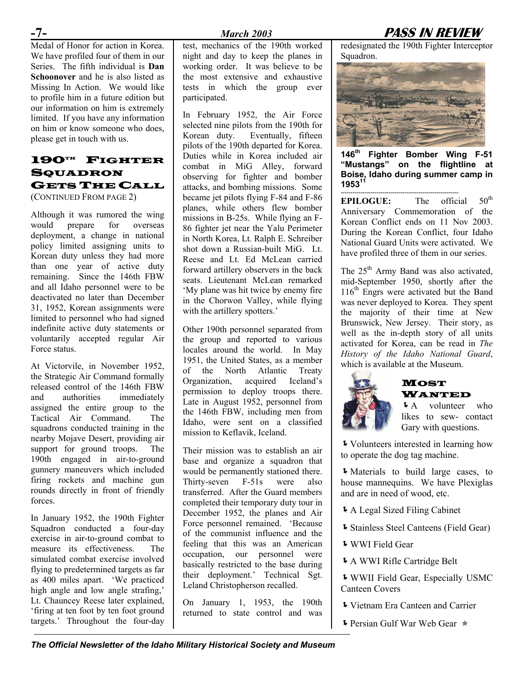Medal of Honor for action in Korea. We have profiled four of them in our Series. The fifth individual is **Dan Schoonover** and he is also listed as Missing In Action. We would like to profile him in a future edition but our information on him is extremely limited. If you have any information on him or know someone who does, please get in touch with us.

#### 190TH FIGHTER **SQUADRON** GETS THE CALL (CONTINUED FROM PAGE 2)

Although it was rumored the wing would prepare for overseas deployment, a change in national policy limited assigning units to Korean duty unless they had more than one year of active duty remaining. Since the 146th FBW and all Idaho personnel were to be deactivated no later than December 31, 1952, Korean assignments were limited to personnel who had signed indefinite active duty statements or voluntarily accepted regular Air Force status.

At Victorvile, in November 1952, the Strategic Air Command formally released control of the 146th FBW and authorities immediately assigned the entire group to the Tactical Air Command. The squadrons conducted training in the nearby Mojave Desert, providing air support for ground troops. The 190th engaged in air-to-ground gunnery maneuvers which included firing rockets and machine gun rounds directly in front of friendly forces.

In January 1952, the 190th Fighter Squadron conducted a four-day exercise in air-to-ground combat to measure its effectiveness. The simulated combat exercise involved flying to predetermined targets as far as 400 miles apart. 'We practiced high angle and low angle strafing,' Lt. Chauncey Reese later explained, 'firing at ten foot by ten foot ground targets.' Throughout the four-day

#### **-7-** *March 2003* **PASS IN REVIEW**

test, mechanics of the 190th worked night and day to keep the planes in working order. It was believe to be the most extensive and exhaustive tests in which the group ever participated.

In February 1952, the Air Force selected nine pilots from the 190th for Korean duty. Eventually, fifteen pilots of the 190th departed for Korea. Duties while in Korea included air combat in MiG Alley, forward observing for fighter and bomber attacks, and bombing missions. Some became jet pilots flying F-84 and F-86 planes, while others flew bomber missions in B-25s. While flying an F-86 fighter jet near the Yalu Perimeter in North Korea, Lt. Ralph E. Schreiber shot down a Russian-built MiG. Lt. Reese and Lt. Ed McLean carried forward artillery observers in the back seats. Lieutenant McLean remarked 'My plane was hit twice by enemy fire in the Chorwon Valley, while flying with the artillery spotters.'

Other 190th personnel separated from the group and reported to various locales around the world. In May 1951, the United States, as a member of the North Atlantic Treaty Organization, acquired Iceland's permission to deploy troops there. Late in August 1952, personnel from the 146th FBW, including men from Idaho, were sent on a classified mission to Keflavik, Iceland.

Their mission was to establish an air base and organize a squadron that would be permanently stationed there. Thirty-seven F-51s were also transferred. After the Guard members completed their temporary duty tour in December 1952, the planes and Air Force personnel remained. 'Because of the communist influence and the feeling that this was an American occupation, our personnel were basically restricted to the base during their deployment.' Technical Sgt. Leland Christopherson recalled.

On January 1, 1953, the 190th returned to state control and was redesignated the 190th Fighter Interceptor Squadron.



**146th Fighter Bomber Wing F-51 "Mustangs" on the flightline at Boise, Idaho during summer camp in 1953[11](#page--1-10)** 

----------------------------------------------------------- **EPILOGUE:** The official 50<sup>th</sup> Anniversary Commemoration of the Korean Conflict ends on 11 Nov 2003. During the Korean Conflict, four Idaho National Guard Units were activated. We have profiled three of them in our series.

The  $25<sup>th</sup>$  Army Band was also activated, mid-September 1950, shortly after the 116<sup>th</sup> Engrs were activated but the Band was never deployed to Korea. They spent the majority of their time at New Brunswick, New Jersey. Their story, as well as the in-depth story of all units activated for Korea, can be read in *The History of the Idaho National Guard*, which is available at the Museum.



#### **MOST** WANTED

ÍA volunteer who likes to sew- contact Gary with questions.

ÍVolunteers interested in learning how to operate the dog tag machine.

ÍMaterials to build large cases, to house mannequins. We have Plexiglas and are in need of wood, etc.

- ÍA Legal Sized Filing Cabinet
- ÍStainless Steel Canteens (Field Gear)
- ÍWWI Field Gear
- ÍA WWI Rifle Cartridge Belt
- ÍWWII Field Gear, Especially USMC Canteen Covers
- **Vietnam Era Canteen and Carrier**
- **I** Persian Gulf War Web Gear  $\ast$